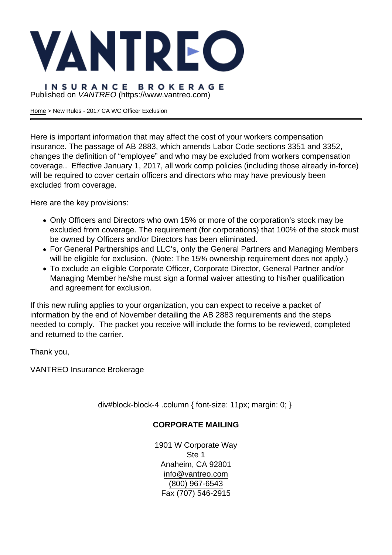Published on VANTREO [\(https://www.vantreo.com](https://www.vantreo.com))

[Home](https://www.vantreo.com/) > New Rules - 2017 CA WC Officer Exclusion

Here is important information that may affect the cost of your workers compensation insurance. The passage of AB 2883, which amends Labor Code sections 3351 and 3352, changes the definition of "employee" and who may be excluded from workers compensation coverage.. Effective January 1, 2017, all work comp policies (including those already in-force) will be required to cover certain officers and directors who may have previously been excluded from coverage.

Here are the key provisions:

- Only Officers and Directors who own 15% or more of the corporation's stock may be excluded from coverage. The requirement (for corporations) that 100% of the stock must be owned by Officers and/or Directors has been eliminated.
- For General Partnerships and LLC's, only the General Partners and Managing Members will be eligible for exclusion. (Note: The 15% ownership requirement does not apply.)
- To exclude an eligible Corporate Officer, Corporate Director, General Partner and/or Managing Member he/she must sign a formal waiver attesting to his/her qualification and agreement for exclusion.

If this new ruling applies to your organization, you can expect to receive a packet of information by the end of November detailing the AB 2883 requirements and the steps needed to comply. The packet you receive will include the forms to be reviewed, completed and returned to the carrier.

Thank you,

VANTREO Insurance Brokerage

div#block-block-4 .column { font-size: 11px; margin: 0; }

# CORPORATE MAILING

1901 W Corporate Way Ste 1 Anaheim, CA 92801 [info@vantreo.com](mailto:info@vantreo.com) [\(800\) 967-6543](tel:1-800-967-6543) Fax (707) 546-2915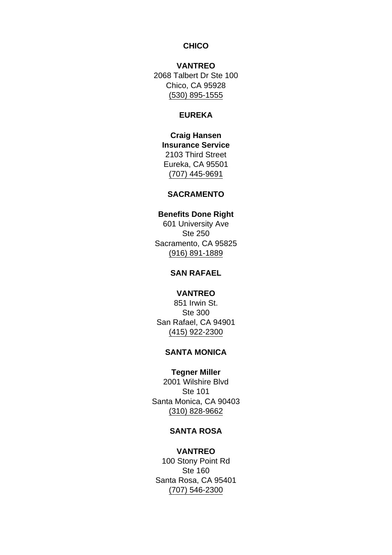### **CHICO**

VANTREO 2068 Talbert Dr Ste 100 Chico, CA 95928 [\(530\) 895-1555](tel:530-895-1555)

### EUREKA

Craig Hansen Insurance Service 2103 Third Street Eureka, CA 95501 [\(707\) 445-9691](tel:707-445-9691)

## SACRAMENTO

Benefits Done Right 601 University Ave Ste 250 Sacramento, CA 95825 [\(916\) 891-1889](tel:916-891-1889)

## SAN RAFAEL

# VANTREO 851 Irwin St. Ste 300 San Rafael, CA 94901 [\(415\) 922-2300](tel:415-922-2300)

### SANTA MONICA

Tegner Miller 2001 Wilshire Blvd Ste 101 Santa Monica, CA 90403 [\(310\) 828-9662](tel:310-828-9662)

### SANTA ROSA

VANTREO 100 Stony Point Rd Ste 160 Santa Rosa, CA 95401 [\(707\) 546-2300](tel:707-546-2300)